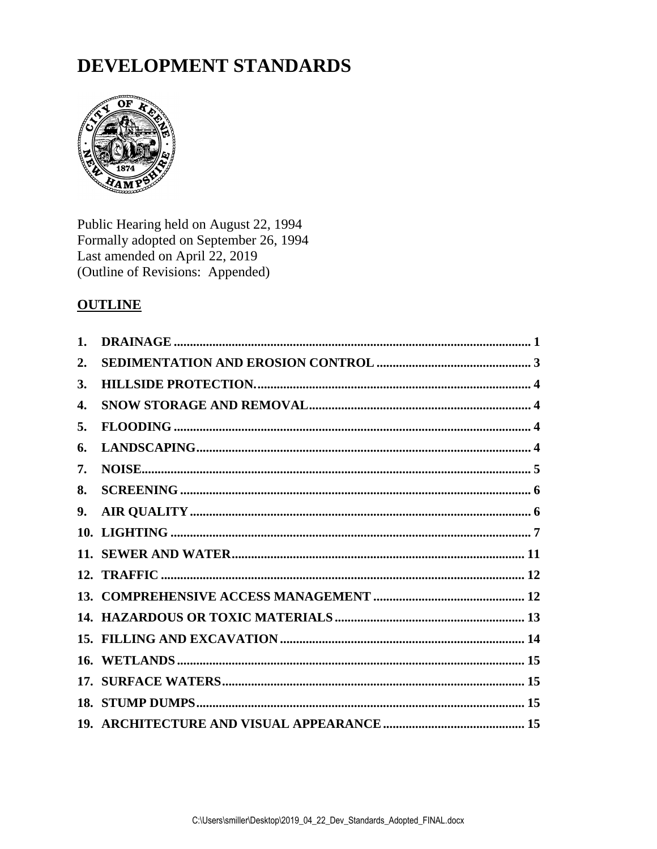# DEVELOPMENT STANDARDS



Public Hearing held on August 22, 1994<br>Formally adopted on September 26, 1994 Last amended on April 22, 2019 (Outline of Revisions: Appended)

## **OUTLINE**

<span id="page-0-0"></span>

| 2.        |  |
|-----------|--|
| <b>3.</b> |  |
| 4.        |  |
| 5.        |  |
| 6.        |  |
| 7.        |  |
| 8.        |  |
| 9.        |  |
|           |  |
|           |  |
|           |  |
|           |  |
|           |  |
|           |  |
|           |  |
|           |  |
|           |  |
|           |  |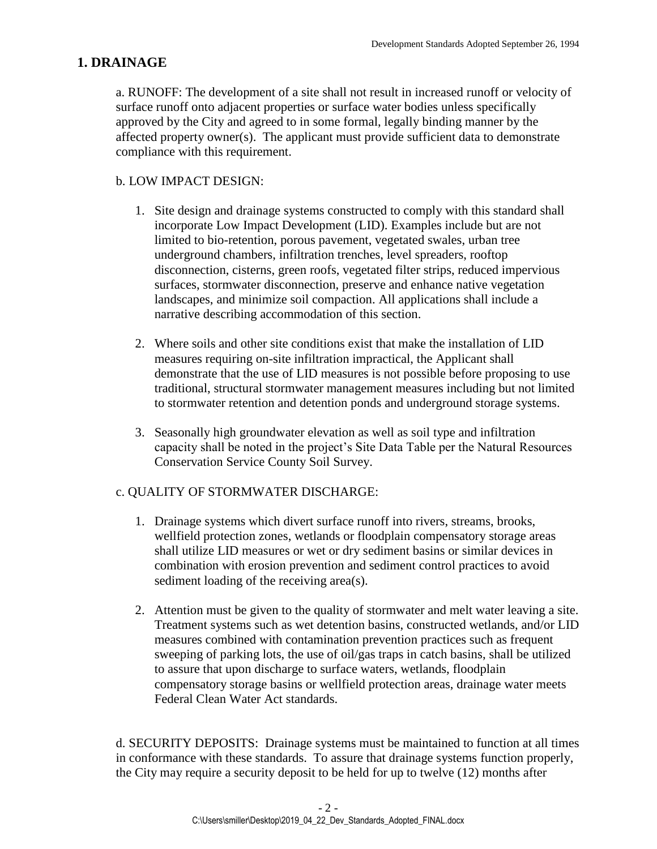## **1. DRAINAGE**

a. RUNOFF: The development of a site shall not result in increased runoff or velocity of surface runoff onto adjacent properties or surface water bodies unless specifically approved by the City and agreed to in some formal, legally binding manner by the affected property owner(s). The applicant must provide sufficient data to demonstrate compliance with this requirement.

#### b. LOW IMPACT DESIGN:

- 1. Site design and drainage systems constructed to comply with this standard shall incorporate Low Impact Development (LID). Examples include but are not limited to bio-retention, porous pavement, vegetated swales, urban tree underground chambers, infiltration trenches, level spreaders, rooftop disconnection, cisterns, green roofs, vegetated filter strips, reduced impervious surfaces, stormwater disconnection, preserve and enhance native vegetation landscapes, and minimize soil compaction. All applications shall include a narrative describing accommodation of this section.
- 2. Where soils and other site conditions exist that make the installation of LID measures requiring on-site infiltration impractical, the Applicant shall demonstrate that the use of LID measures is not possible before proposing to use traditional, structural stormwater management measures including but not limited to stormwater retention and detention ponds and underground storage systems.
- 3. Seasonally high groundwater elevation as well as soil type and infiltration capacity shall be noted in the project's Site Data Table per the Natural Resources Conservation Service County Soil Survey.

#### c. QUALITY OF STORMWATER DISCHARGE:

- 1. Drainage systems which divert surface runoff into rivers, streams, brooks, wellfield protection zones, wetlands or floodplain compensatory storage areas shall utilize LID measures or wet or dry sediment basins or similar devices in combination with erosion prevention and sediment control practices to avoid sediment loading of the receiving area(s).
- 2. Attention must be given to the quality of stormwater and melt water leaving a site. Treatment systems such as wet detention basins, constructed wetlands, and/or LID measures combined with contamination prevention practices such as frequent sweeping of parking lots, the use of oil/gas traps in catch basins, shall be utilized to assure that upon discharge to surface waters, wetlands, floodplain compensatory storage basins or wellfield protection areas, drainage water meets Federal Clean Water Act standards.

d. SECURITY DEPOSITS: Drainage systems must be maintained to function at all times in conformance with these standards. To assure that drainage systems function properly, the City may require a security deposit to be held for up to twelve (12) months after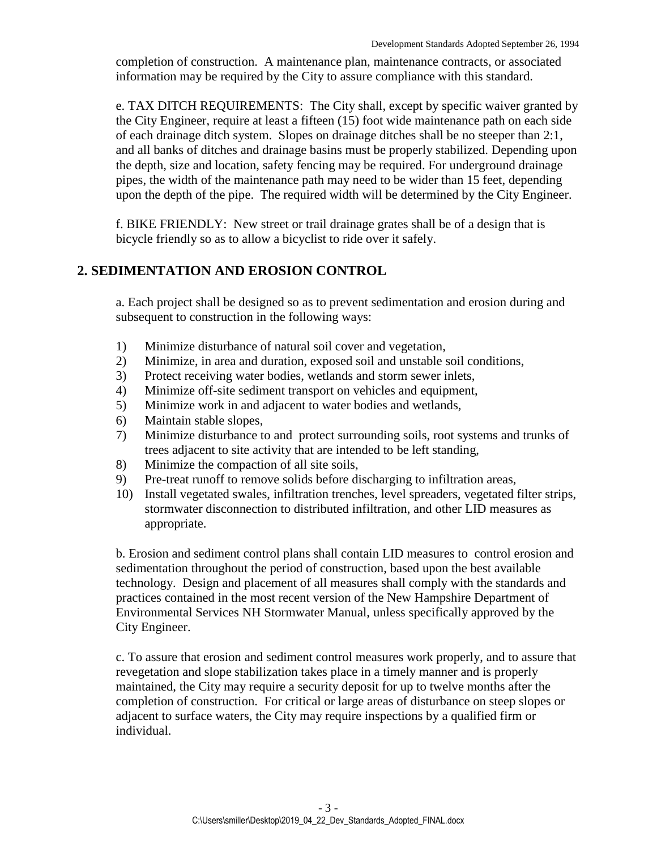completion of construction. A maintenance plan, maintenance contracts, or associated information may be required by the City to assure compliance with this standard.

e. TAX DITCH REQUIREMENTS: The City shall, except by specific waiver granted by the City Engineer, require at least a fifteen (15) foot wide maintenance path on each side of each drainage ditch system. Slopes on drainage ditches shall be no steeper than 2:1, and all banks of ditches and drainage basins must be properly stabilized. Depending upon the depth, size and location, safety fencing may be required. For underground drainage pipes, the width of the maintenance path may need to be wider than 15 feet, depending upon the depth of the pipe. The required width will be determined by the City Engineer.

f. BIKE FRIENDLY: New street or trail drainage grates shall be of a design that is bicycle friendly so as to allow a bicyclist to ride over it safely.

#### <span id="page-2-0"></span>**2. SEDIMENTATION AND EROSION CONTROL**

a. Each project shall be designed so as to prevent sedimentation and erosion during and subsequent to construction in the following ways:

- 1) Minimize disturbance of natural soil cover and vegetation,
- 2) Minimize, in area and duration, exposed soil and unstable soil conditions,
- 3) Protect receiving water bodies, wetlands and storm sewer inlets,
- 4) Minimize off-site sediment transport on vehicles and equipment,
- 5) Minimize work in and adjacent to water bodies and wetlands,
- 6) Maintain stable slopes,
- 7) Minimize disturbance to and protect surrounding soils, root systems and trunks of trees adjacent to site activity that are intended to be left standing,
- 8) Minimize the compaction of all site soils,
- 9) Pre-treat runoff to remove solids before discharging to infiltration areas,
- 10) Install vegetated swales, infiltration trenches, level spreaders, vegetated filter strips, stormwater disconnection to distributed infiltration, and other LID measures as appropriate.

b. Erosion and sediment control plans shall contain LID measures to control erosion and sedimentation throughout the period of construction, based upon the best available technology. Design and placement of all measures shall comply with the standards and practices contained in the most recent version of the New Hampshire Department of Environmental Services NH Stormwater Manual, unless specifically approved by the City Engineer.

<span id="page-2-1"></span>c. To assure that erosion and sediment control measures work properly, and to assure that revegetation and slope stabilization takes place in a timely manner and is properly maintained, the City may require a security deposit for up to twelve months after the completion of construction. For critical or large areas of disturbance on steep slopes or adjacent to surface waters, the City may require inspections by a qualified firm or individual.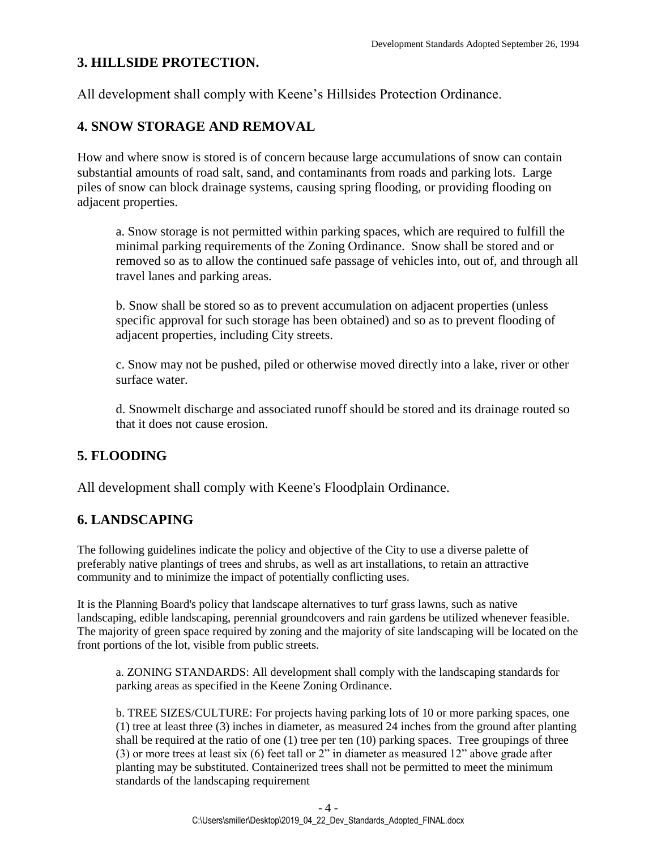## **3. HILLSIDE PROTECTION.**

All development shall comply with Keene's Hillsides Protection Ordinance.

## <span id="page-3-0"></span>**4. SNOW STORAGE AND REMOVAL**

How and where snow is stored is of concern because large accumulations of snow can contain substantial amounts of road salt, sand, and contaminants from roads and parking lots. Large piles of snow can block drainage systems, causing spring flooding, or providing flooding on adjacent properties.

a. Snow storage is not permitted within parking spaces, which are required to fulfill the minimal parking requirements of the Zoning Ordinance. Snow shall be stored and or removed so as to allow the continued safe passage of vehicles into, out of, and through all travel lanes and parking areas.

b. Snow shall be stored so as to prevent accumulation on adjacent properties (unless specific approval for such storage has been obtained) and so as to prevent flooding of adjacent properties, including City streets.

c. Snow may not be pushed, piled or otherwise moved directly into a lake, river or other surface water.

d. Snowmelt discharge and associated runoff should be stored and its drainage routed so that it does not cause erosion.

## <span id="page-3-1"></span>**5. FLOODING**

All development shall comply with Keene's Floodplain Ordinance.

## <span id="page-3-2"></span>**6. LANDSCAPING**

The following guidelines indicate the policy and objective of the City to use a diverse palette of preferably native plantings of trees and shrubs, as well as art installations, to retain an attractive community and to minimize the impact of potentially conflicting uses.

It is the Planning Board's policy that landscape alternatives to turf grass lawns, such as native landscaping, edible landscaping, perennial groundcovers and rain gardens be utilized whenever feasible. The majority of green space required by zoning and the majority of site landscaping will be located on the front portions of the lot, visible from public streets.

a. ZONING STANDARDS: All development shall comply with the landscaping standards for parking areas as specified in the Keene Zoning Ordinance.

b. TREE SIZES/CULTURE: For projects having parking lots of 10 or more parking spaces, one (1) tree at least three (3) inches in diameter, as measured 24 inches from the ground after planting shall be required at the ratio of one (1) tree per ten (10) parking spaces. Tree groupings of three (3) or more trees at least six (6) feet tall or 2" in diameter as measured 12" above grade after planting may be substituted. Containerized trees shall not be permitted to meet the minimum standards of the landscaping requirement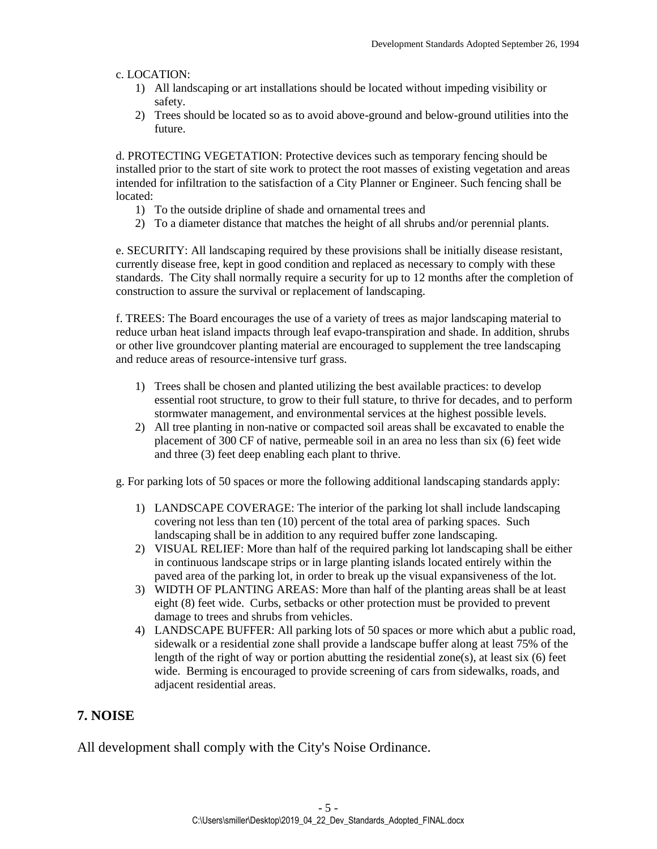#### c. LOCATION:

- 1) All landscaping or art installations should be located without impeding visibility or safety.
- 2) Trees should be located so as to avoid above-ground and below-ground utilities into the future.

d. PROTECTING VEGETATION: Protective devices such as temporary fencing should be installed prior to the start of site work to protect the root masses of existing vegetation and areas intended for infiltration to the satisfaction of a City Planner or Engineer. Such fencing shall be located:

- 1) To the outside dripline of shade and ornamental trees and
- 2) To a diameter distance that matches the height of all shrubs and/or perennial plants.

e. SECURITY: All landscaping required by these provisions shall be initially disease resistant, currently disease free, kept in good condition and replaced as necessary to comply with these standards. The City shall normally require a security for up to 12 months after the completion of construction to assure the survival or replacement of landscaping.

f. TREES: The Board encourages the use of a variety of trees as major landscaping material to reduce urban heat island impacts through leaf evapo-transpiration and shade. In addition, shrubs or other live groundcover planting material are encouraged to supplement the tree landscaping and reduce areas of resource-intensive turf grass.

- 1) Trees shall be chosen and planted utilizing the best available practices: to develop essential root structure, to grow to their full stature, to thrive for decades, and to perform stormwater management, and environmental services at the highest possible levels.
- 2) All tree planting in non-native or compacted soil areas shall be excavated to enable the placement of 300 CF of native, permeable soil in an area no less than six (6) feet wide and three (3) feet deep enabling each plant to thrive.

g. For parking lots of 50 spaces or more the following additional landscaping standards apply:

- 1) LANDSCAPE COVERAGE: The interior of the parking lot shall include landscaping covering not less than ten (10) percent of the total area of parking spaces. Such landscaping shall be in addition to any required buffer zone landscaping.
- 2) VISUAL RELIEF: More than half of the required parking lot landscaping shall be either in continuous landscape strips or in large planting islands located entirely within the paved area of the parking lot, in order to break up the visual expansiveness of the lot.
- 3) WIDTH OF PLANTING AREAS: More than half of the planting areas shall be at least eight (8) feet wide. Curbs, setbacks or other protection must be provided to prevent damage to trees and shrubs from vehicles.
- 4) LANDSCAPE BUFFER: All parking lots of 50 spaces or more which abut a public road, sidewalk or a residential zone shall provide a landscape buffer along at least 75% of the length of the right of way or portion abutting the residential zone $(s)$ , at least six  $(6)$  feet wide. Berming is encouraged to provide screening of cars from sidewalks, roads, and adjacent residential areas.

#### <span id="page-4-0"></span>**7. NOISE**

<span id="page-4-1"></span>All development shall comply with the City's Noise Ordinance.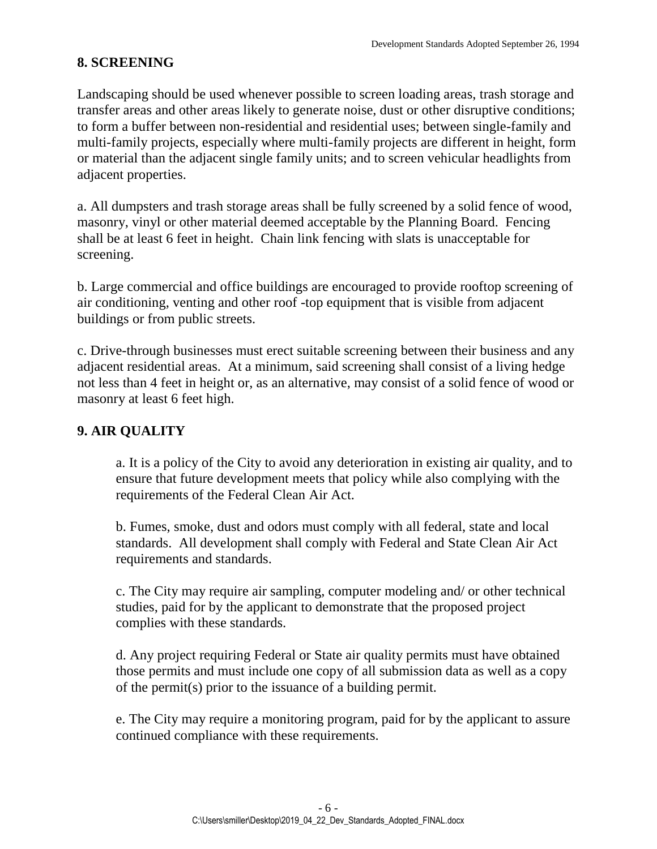## **8. SCREENING**

Landscaping should be used whenever possible to screen loading areas, trash storage and transfer areas and other areas likely to generate noise, dust or other disruptive conditions; to form a buffer between non-residential and residential uses; between single-family and multi-family projects, especially where multi-family projects are different in height, form or material than the adjacent single family units; and to screen vehicular headlights from adjacent properties.

a. All dumpsters and trash storage areas shall be fully screened by a solid fence of wood, masonry, vinyl or other material deemed acceptable by the Planning Board. Fencing shall be at least 6 feet in height. Chain link fencing with slats is unacceptable for screening.

b. Large commercial and office buildings are encouraged to provide rooftop screening of air conditioning, venting and other roof -top equipment that is visible from adjacent buildings or from public streets.

c. Drive-through businesses must erect suitable screening between their business and any adjacent residential areas. At a minimum, said screening shall consist of a living hedge not less than 4 feet in height or, as an alternative, may consist of a solid fence of wood or masonry at least 6 feet high.

### <span id="page-5-0"></span>**9. AIR QUALITY**

a. It is a policy of the City to avoid any deterioration in existing air quality, and to ensure that future development meets that policy while also complying with the requirements of the Federal Clean Air Act.

b. Fumes, smoke, dust and odors must comply with all federal, state and local standards. All development shall comply with Federal and State Clean Air Act requirements and standards.

c. The City may require air sampling, computer modeling and/ or other technical studies, paid for by the applicant to demonstrate that the proposed project complies with these standards.

d. Any project requiring Federal or State air quality permits must have obtained those permits and must include one copy of all submission data as well as a copy of the permit(s) prior to the issuance of a building permit.

<span id="page-5-1"></span>e. The City may require a monitoring program, paid for by the applicant to assure continued compliance with these requirements.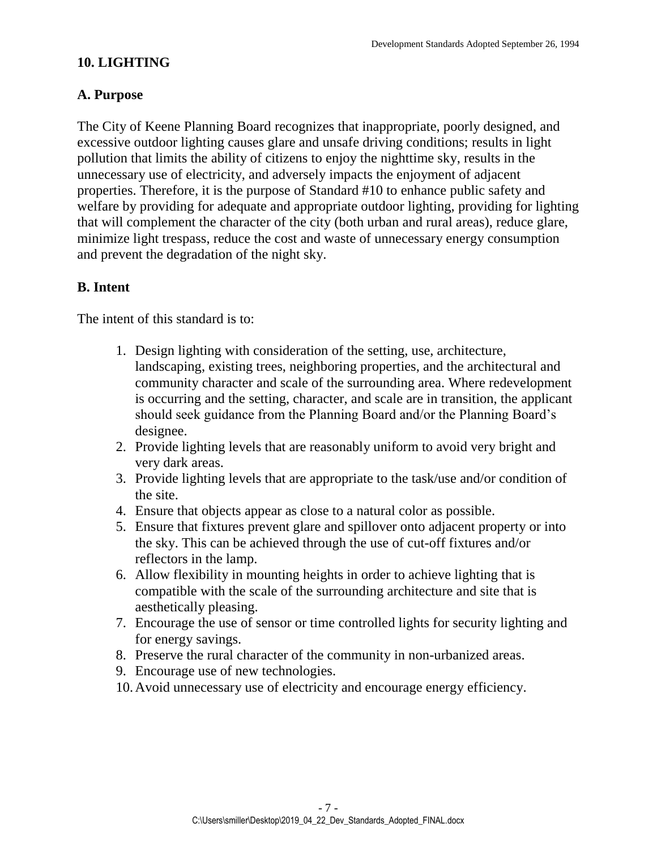## **10. LIGHTING**

## **A. Purpose**

The City of Keene Planning Board recognizes that inappropriate, poorly designed, and excessive outdoor lighting causes glare and unsafe driving conditions; results in light pollution that limits the ability of citizens to enjoy the nighttime sky, results in the unnecessary use of electricity, and adversely impacts the enjoyment of adjacent properties. Therefore, it is the purpose of Standard #10 to enhance public safety and welfare by providing for adequate and appropriate outdoor lighting, providing for lighting that will complement the character of the city (both urban and rural areas), reduce glare, minimize light trespass, reduce the cost and waste of unnecessary energy consumption and prevent the degradation of the night sky.

## **B. Intent**

The intent of this standard is to:

- 1. Design lighting with consideration of the setting, use, architecture, landscaping, existing trees, neighboring properties, and the architectural and community character and scale of the surrounding area. Where redevelopment is occurring and the setting, character, and scale are in transition, the applicant should seek guidance from the Planning Board and/or the Planning Board's designee.
- 2. Provide lighting levels that are reasonably uniform to avoid very bright and very dark areas.
- 3. Provide lighting levels that are appropriate to the task/use and/or condition of the site.
- 4. Ensure that objects appear as close to a natural color as possible.
- 5. Ensure that fixtures prevent glare and spillover onto adjacent property or into the sky. This can be achieved through the use of cut-off fixtures and/or reflectors in the lamp.
- 6. Allow flexibility in mounting heights in order to achieve lighting that is compatible with the scale of the surrounding architecture and site that is aesthetically pleasing.
- 7. Encourage the use of sensor or time controlled lights for security lighting and for energy savings.
- 8. Preserve the rural character of the community in non-urbanized areas.
- 9. Encourage use of new technologies.
- 10.Avoid unnecessary use of electricity and encourage energy efficiency.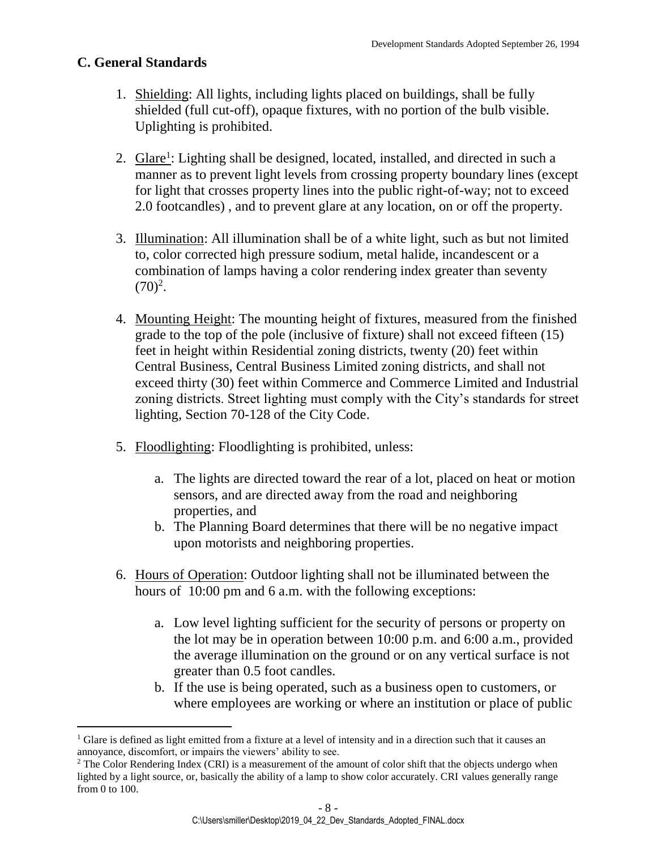#### **C. General Standards**

- 1. Shielding: All lights, including lights placed on buildings, shall be fully shielded (full cut-off), opaque fixtures, with no portion of the bulb visible. Uplighting is prohibited.
- 2. Glare<sup>1</sup>: Lighting shall be designed, located, installed, and directed in such a manner as to prevent light levels from crossing property boundary lines (except for light that crosses property lines into the public right-of-way; not to exceed 2.0 footcandles) , and to prevent glare at any location, on or off the property.
- 3. Illumination: All illumination shall be of a white light, such as but not limited to, color corrected high pressure sodium, metal halide, incandescent or a combination of lamps having a color rendering index greater than seventy  $(70)^2$ .
- 4. Mounting Height: The mounting height of fixtures, measured from the finished grade to the top of the pole (inclusive of fixture) shall not exceed fifteen (15) feet in height within Residential zoning districts, twenty (20) feet within Central Business, Central Business Limited zoning districts, and shall not exceed thirty (30) feet within Commerce and Commerce Limited and Industrial zoning districts. Street lighting must comply with the City's standards for street lighting, Section 70-128 of the City Code.
- 5. Floodlighting: Floodlighting is prohibited, unless:
	- a. The lights are directed toward the rear of a lot, placed on heat or motion sensors, and are directed away from the road and neighboring properties, and
	- b. The Planning Board determines that there will be no negative impact upon motorists and neighboring properties.
- 6. Hours of Operation: Outdoor lighting shall not be illuminated between the hours of 10:00 pm and 6 a.m. with the following exceptions:
	- a. Low level lighting sufficient for the security of persons or property on the lot may be in operation between 10:00 p.m. and 6:00 a.m., provided the average illumination on the ground or on any vertical surface is not greater than 0.5 foot candles.
	- b. If the use is being operated, such as a business open to customers, or where employees are working or where an institution or place of public

 $\overline{a}$  $1$  Glare is defined as light emitted from a fixture at a level of intensity and in a direction such that it causes an annoyance, discomfort, or impairs the viewers' ability to see.

<sup>&</sup>lt;sup>2</sup> The Color Rendering Index (CRI) is a measurement of the amount of color shift that the objects undergo when lighted by a light source, or, basically the ability of a lamp to show color accurately. CRI values generally range from 0 to 100.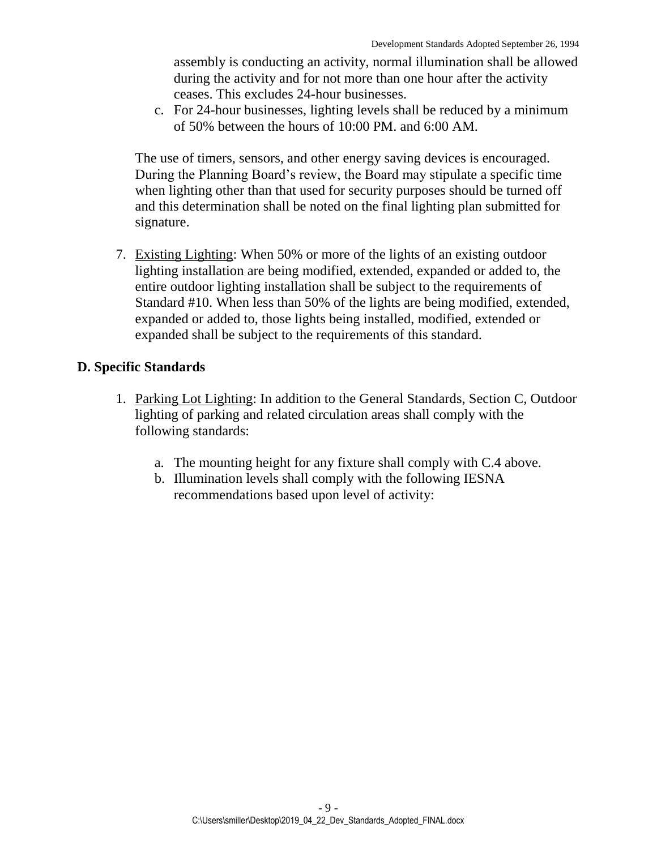assembly is conducting an activity, normal illumination shall be allowed during the activity and for not more than one hour after the activity ceases. This excludes 24-hour businesses.

c. For 24-hour businesses, lighting levels shall be reduced by a minimum of 50% between the hours of 10:00 PM. and 6:00 AM.

The use of timers, sensors, and other energy saving devices is encouraged. During the Planning Board's review, the Board may stipulate a specific time when lighting other than that used for security purposes should be turned off and this determination shall be noted on the final lighting plan submitted for signature.

7. Existing Lighting: When 50% or more of the lights of an existing outdoor lighting installation are being modified, extended, expanded or added to, the entire outdoor lighting installation shall be subject to the requirements of Standard #10. When less than 50% of the lights are being modified, extended, expanded or added to, those lights being installed, modified, extended or expanded shall be subject to the requirements of this standard.

#### **D. Specific Standards**

- 1. Parking Lot Lighting: In addition to the General Standards, Section C, Outdoor lighting of parking and related circulation areas shall comply with the following standards:
	- a. The mounting height for any fixture shall comply with C.4 above.
	- b. Illumination levels shall comply with the following IESNA recommendations based upon level of activity: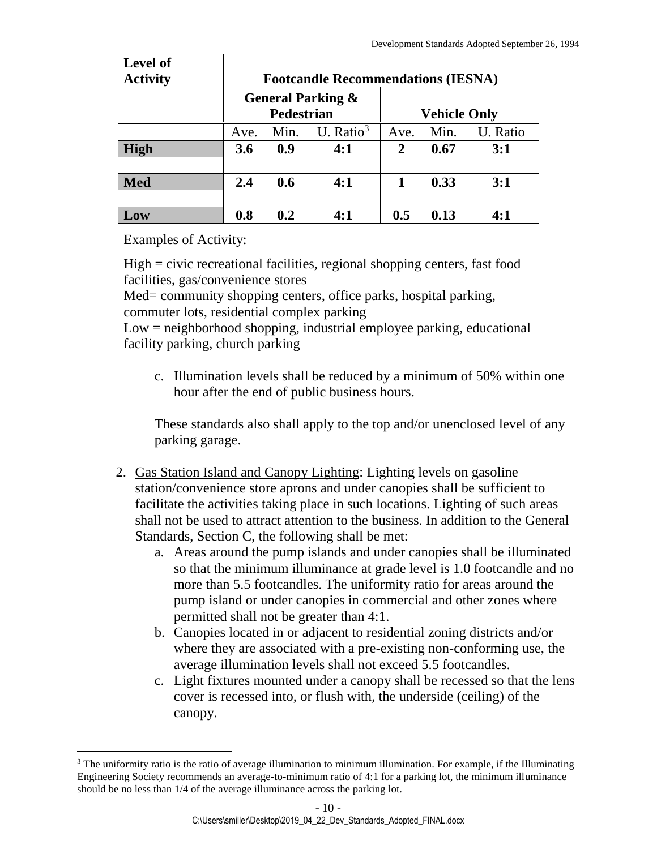| Level of<br><b>Activity</b> | <b>Footcandle Recommendations (IESNA)</b>         |      |              |                     |      |          |  |
|-----------------------------|---------------------------------------------------|------|--------------|---------------------|------|----------|--|
|                             | <b>General Parking &amp;</b><br><b>Pedestrian</b> |      |              | <b>Vehicle Only</b> |      |          |  |
|                             | Ave.                                              | Min. | U. Ratio $3$ | Ave.                | Min. | U. Ratio |  |
| High                        | 3.6                                               | 0.9  | 4:1          | $\overline{2}$      | 0.67 | 3:1      |  |
|                             |                                                   |      |              |                     |      |          |  |
| <b>Med</b>                  | 2.4                                               | 0.6  | 4:1          |                     | 0.33 | 3:1      |  |
|                             |                                                   |      |              |                     |      |          |  |
| Low                         | 0.8                                               | 0.2  | 4:1          | 0.5                 | 0.13 | 4:1      |  |

Examples of Activity:

 $\overline{a}$ 

High = civic recreational facilities, regional shopping centers, fast food facilities, gas/convenience stores

Med= community shopping centers, office parks, hospital parking, commuter lots, residential complex parking

Low = neighborhood shopping, industrial employee parking, educational facility parking, church parking

c. Illumination levels shall be reduced by a minimum of 50% within one hour after the end of public business hours.

These standards also shall apply to the top and/or unenclosed level of any parking garage.

- 2. Gas Station Island and Canopy Lighting: Lighting levels on gasoline station/convenience store aprons and under canopies shall be sufficient to facilitate the activities taking place in such locations. Lighting of such areas shall not be used to attract attention to the business. In addition to the General Standards, Section C, the following shall be met:
	- a. Areas around the pump islands and under canopies shall be illuminated so that the minimum illuminance at grade level is 1.0 footcandle and no more than 5.5 footcandles. The uniformity ratio for areas around the pump island or under canopies in commercial and other zones where permitted shall not be greater than 4:1.
	- b. Canopies located in or adjacent to residential zoning districts and/or where they are associated with a pre-existing non-conforming use, the average illumination levels shall not exceed 5.5 footcandles.
	- c. Light fixtures mounted under a canopy shall be recessed so that the lens cover is recessed into, or flush with, the underside (ceiling) of the canopy.

<sup>&</sup>lt;sup>3</sup> The uniformity ratio is the ratio of average illumination to minimum illumination. For example, if the Illuminating Engineering Society recommends an average-to-minimum ratio of 4:1 for a parking lot, the minimum illuminance should be no less than 1/4 of the average illuminance across the parking lot.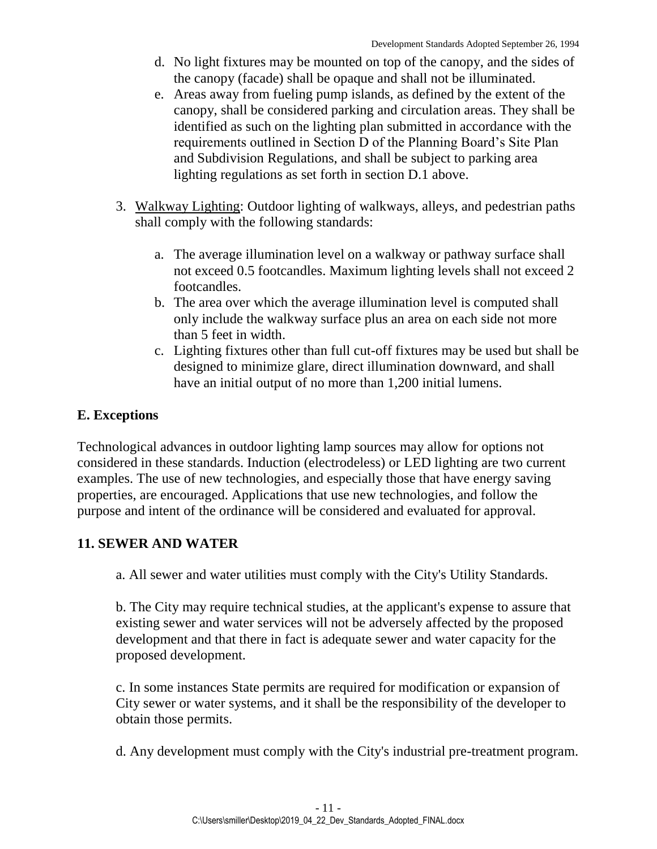- d. No light fixtures may be mounted on top of the canopy, and the sides of the canopy (facade) shall be opaque and shall not be illuminated.
- e. Areas away from fueling pump islands, as defined by the extent of the canopy, shall be considered parking and circulation areas. They shall be identified as such on the lighting plan submitted in accordance with the requirements outlined in Section D of the Planning Board's Site Plan and Subdivision Regulations, and shall be subject to parking area lighting regulations as set forth in section D.1 above.
- 3. Walkway Lighting: Outdoor lighting of walkways, alleys, and pedestrian paths shall comply with the following standards:
	- a. The average illumination level on a walkway or pathway surface shall not exceed 0.5 footcandles. Maximum lighting levels shall not exceed 2 footcandles.
	- b. The area over which the average illumination level is computed shall only include the walkway surface plus an area on each side not more than 5 feet in width.
	- c. Lighting fixtures other than full cut-off fixtures may be used but shall be designed to minimize glare, direct illumination downward, and shall have an initial output of no more than 1,200 initial lumens.

## **E. Exceptions**

Technological advances in outdoor lighting lamp sources may allow for options not considered in these standards. Induction (electrodeless) or LED lighting are two current examples. The use of new technologies, and especially those that have energy saving properties, are encouraged. Applications that use new technologies, and follow the purpose and intent of the ordinance will be considered and evaluated for approval.

## <span id="page-10-0"></span>**11. SEWER AND WATER**

a. All sewer and water utilities must comply with the City's Utility Standards.

b. The City may require technical studies, at the applicant's expense to assure that existing sewer and water services will not be adversely affected by the proposed development and that there in fact is adequate sewer and water capacity for the proposed development.

c. In some instances State permits are required for modification or expansion of City sewer or water systems, and it shall be the responsibility of the developer to obtain those permits.

<span id="page-10-1"></span>d. Any development must comply with the City's industrial pre-treatment program.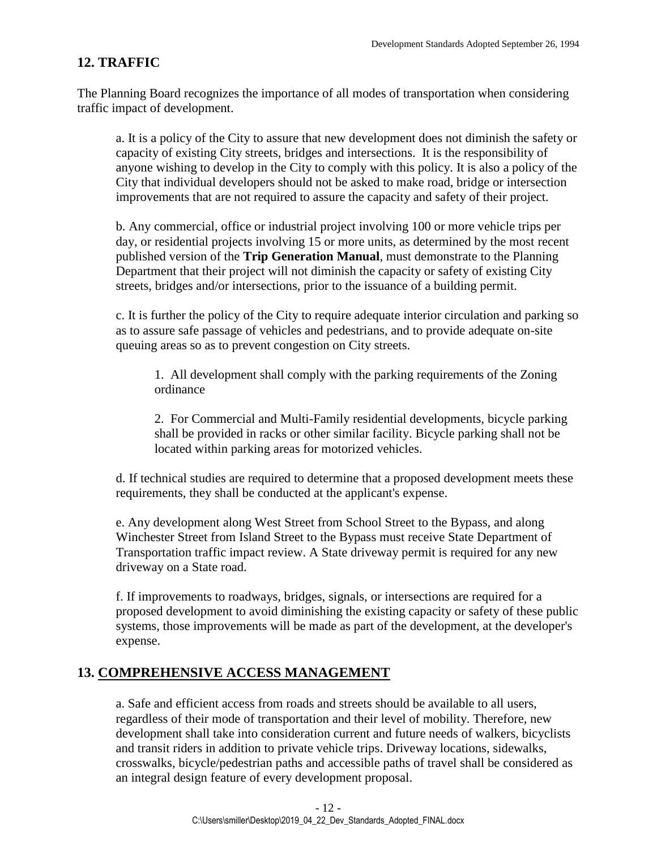## **12. TRAFFIC**

The Planning Board recognizes the importance of all modes of transportation when considering traffic impact of development.

a. It is a policy of the City to assure that new development does not diminish the safety or capacity of existing City streets, bridges and intersections. It is the responsibility of anyone wishing to develop in the City to comply with this policy. It is also a policy of the City that individual developers should not be asked to make road, bridge or intersection improvements that are not required to assure the capacity and safety of their project.

b. Any commercial, office or industrial project involving 100 or more vehicle trips per day, or residential projects involving 15 or more units, as determined by the most recent published version of the **Trip Generation Manual**, must demonstrate to the Planning Department that their project will not diminish the capacity or safety of existing City streets, bridges and/or intersections, prior to the issuance of a building permit.

c. It is further the policy of the City to require adequate interior circulation and parking so as to assure safe passage of vehicles and pedestrians, and to provide adequate on-site queuing areas so as to prevent congestion on City streets.

1. All development shall comply with the parking requirements of the Zoning ordinance

2. For Commercial and Multi-Family residential developments, bicycle parking shall be provided in racks or other similar facility. Bicycle parking shall not be located within parking areas for motorized vehicles.

d. If technical studies are required to determine that a proposed development meets these requirements, they shall be conducted at the applicant's expense.

e. Any development along West Street from School Street to the Bypass, and along Winchester Street from Island Street to the Bypass must receive State Department of Transportation traffic impact review. A State driveway permit is required for any new driveway on a State road.

f. If improvements to roadways, bridges, signals, or intersections are required for a proposed development to avoid diminishing the existing capacity or safety of these public systems, those improvements will be made as part of the development, at the developer's expense.

#### <span id="page-11-0"></span>**13. COMPREHENSIVE ACCESS MANAGEMENT**

a. Safe and efficient access from roads and streets should be available to all users, regardless of their mode of transportation and their level of mobility. Therefore, new development shall take into consideration current and future needs of walkers, bicyclists and transit riders in addition to private vehicle trips. Driveway locations, sidewalks, crosswalks, bicycle/pedestrian paths and accessible paths of travel shall be considered as an integral design feature of every development proposal.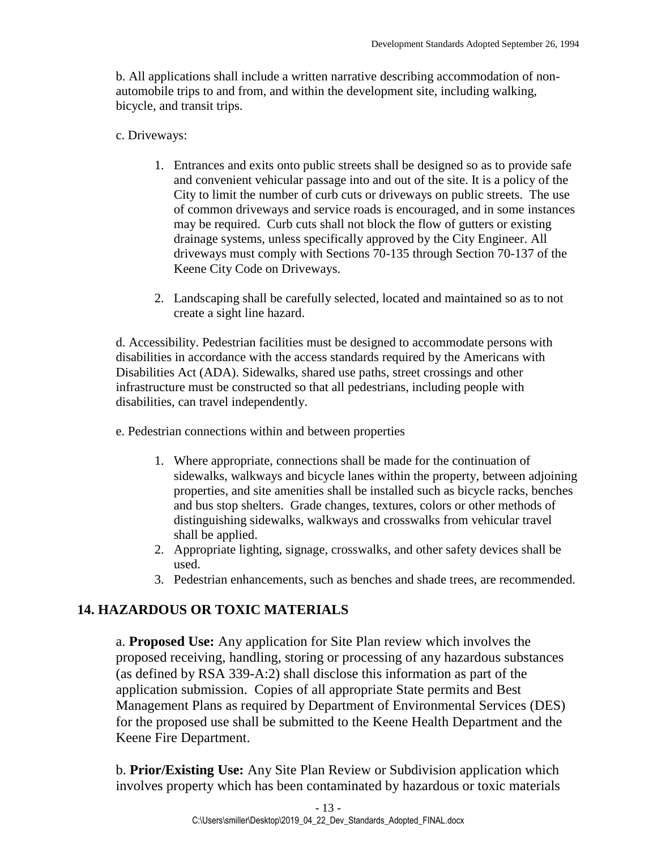b. All applications shall include a written narrative describing accommodation of nonautomobile trips to and from, and within the development site, including walking, bicycle, and transit trips.

c. Driveways:

- 1. Entrances and exits onto public streets shall be designed so as to provide safe and convenient vehicular passage into and out of the site. It is a policy of the City to limit the number of curb cuts or driveways on public streets. The use of common driveways and service roads is encouraged, and in some instances may be required. Curb cuts shall not block the flow of gutters or existing drainage systems, unless specifically approved by the City Engineer. All driveways must comply with Sections 70-135 through Section 70-137 of the Keene City Code on Driveways.
- 2. Landscaping shall be carefully selected, located and maintained so as to not create a sight line hazard.

d. Accessibility. Pedestrian facilities must be designed to accommodate persons with disabilities in accordance with the access standards required by the Americans with Disabilities Act (ADA). Sidewalks, shared use paths, street crossings and other infrastructure must be constructed so that all pedestrians, including people with disabilities, can travel independently.

e. Pedestrian connections within and between properties

- 1. Where appropriate, connections shall be made for the continuation of sidewalks, walkways and bicycle lanes within the property, between adjoining properties, and site amenities shall be installed such as bicycle racks, benches and bus stop shelters. Grade changes, textures, colors or other methods of distinguishing sidewalks, walkways and crosswalks from vehicular travel shall be applied.
- 2. Appropriate lighting, signage, crosswalks, and other safety devices shall be used.
- 3. Pedestrian enhancements, such as benches and shade trees, are recommended.

## <span id="page-12-0"></span>**14. HAZARDOUS OR TOXIC MATERIALS**

a. **Proposed Use:** Any application for Site Plan review which involves the proposed receiving, handling, storing or processing of any hazardous substances (as defined by RSA 339-A:2) shall disclose this information as part of the application submission. Copies of all appropriate State permits and Best Management Plans as required by Department of Environmental Services (DES) for the proposed use shall be submitted to the Keene Health Department and the Keene Fire Department.

b. **Prior/Existing Use:** Any Site Plan Review or Subdivision application which involves property which has been contaminated by hazardous or toxic materials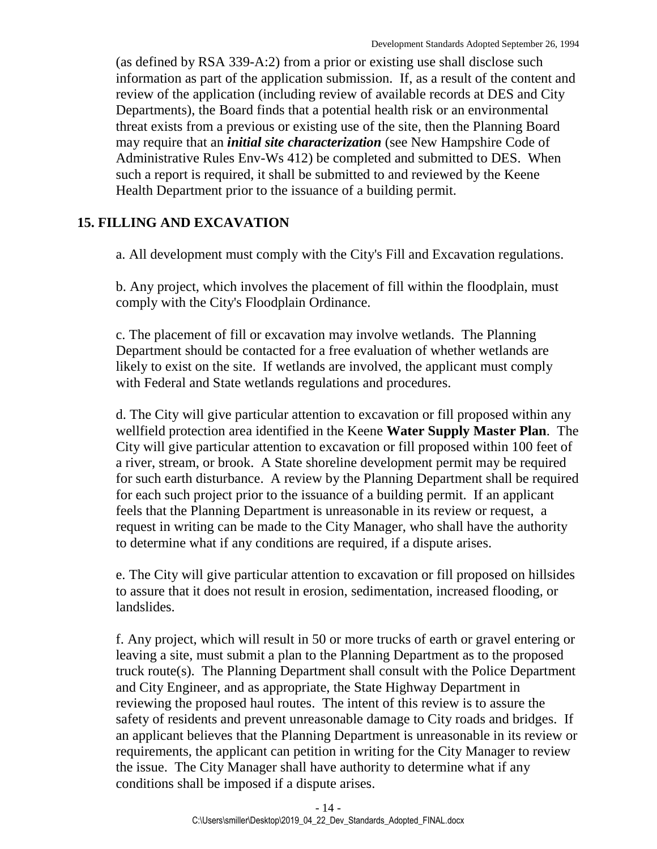(as defined by RSA 339-A:2) from a prior or existing use shall disclose such information as part of the application submission. If, as a result of the content and review of the application (including review of available records at DES and City Departments), the Board finds that a potential health risk or an environmental threat exists from a previous or existing use of the site, then the Planning Board may require that an *initial site characterization* (see New Hampshire Code of Administrative Rules Env-Ws 412) be completed and submitted to DES. When such a report is required, it shall be submitted to and reviewed by the Keene Health Department prior to the issuance of a building permit.

## <span id="page-13-0"></span>**15. FILLING AND EXCAVATION**

a. All development must comply with the City's Fill and Excavation regulations.

b. Any project, which involves the placement of fill within the floodplain, must comply with the City's Floodplain Ordinance.

c. The placement of fill or excavation may involve wetlands. The Planning Department should be contacted for a free evaluation of whether wetlands are likely to exist on the site. If wetlands are involved, the applicant must comply with Federal and State wetlands regulations and procedures.

d. The City will give particular attention to excavation or fill proposed within any wellfield protection area identified in the Keene **Water Supply Master Plan**. The City will give particular attention to excavation or fill proposed within 100 feet of a river, stream, or brook. A State shoreline development permit may be required for such earth disturbance. A review by the Planning Department shall be required for each such project prior to the issuance of a building permit. If an applicant feels that the Planning Department is unreasonable in its review or request, a request in writing can be made to the City Manager, who shall have the authority to determine what if any conditions are required, if a dispute arises.

e. The City will give particular attention to excavation or fill proposed on hillsides to assure that it does not result in erosion, sedimentation, increased flooding, or landslides.

f. Any project, which will result in 50 or more trucks of earth or gravel entering or leaving a site, must submit a plan to the Planning Department as to the proposed truck route(s). The Planning Department shall consult with the Police Department and City Engineer, and as appropriate, the State Highway Department in reviewing the proposed haul routes. The intent of this review is to assure the safety of residents and prevent unreasonable damage to City roads and bridges. If an applicant believes that the Planning Department is unreasonable in its review or requirements, the applicant can petition in writing for the City Manager to review the issue. The City Manager shall have authority to determine what if any conditions shall be imposed if a dispute arises.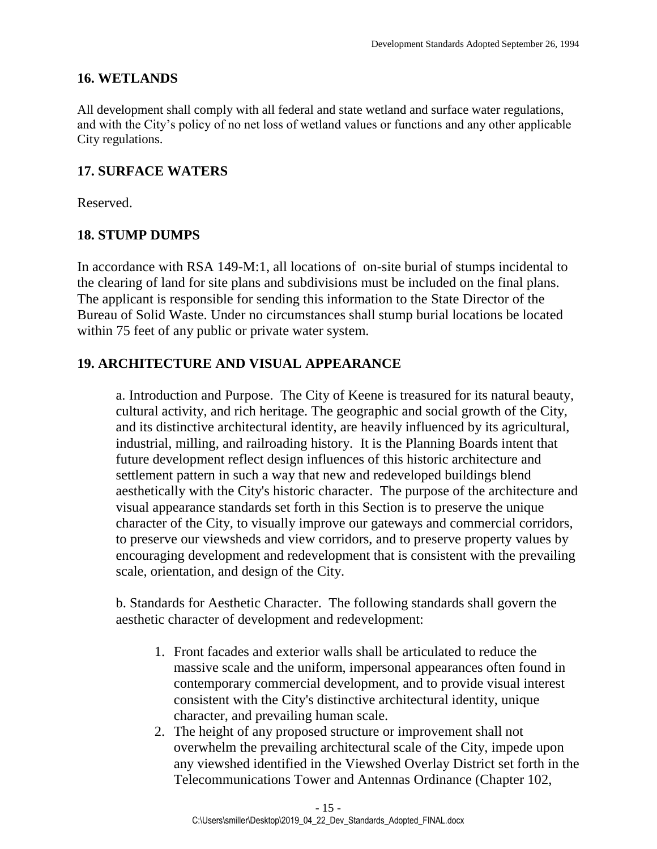#### <span id="page-14-0"></span>**16. WETLANDS**

All development shall comply with all federal and state wetland and surface water regulations, and with the City's policy of no net loss of wetland values or functions and any other applicable City regulations.

### <span id="page-14-1"></span>**17. SURFACE WATERS**

Reserved.

## <span id="page-14-2"></span>**18. STUMP DUMPS**

In accordance with RSA 149-M:1, all locations of on-site burial of stumps incidental to the clearing of land for site plans and subdivisions must be included on the final plans. The applicant is responsible for sending this information to the State Director of the Bureau of Solid Waste. Under no circumstances shall stump burial locations be located within 75 feet of any public or private water system.

## <span id="page-14-3"></span>**19. ARCHITECTURE AND VISUAL APPEARANCE**

a. Introduction and Purpose. The City of Keene is treasured for its natural beauty, cultural activity, and rich heritage. The geographic and social growth of the City, and its distinctive architectural identity, are heavily influenced by its agricultural, industrial, milling, and railroading history. It is the Planning Boards intent that future development reflect design influences of this historic architecture and settlement pattern in such a way that new and redeveloped buildings blend aesthetically with the City's historic character. The purpose of the architecture and visual appearance standards set forth in this Section is to preserve the unique character of the City, to visually improve our gateways and commercial corridors, to preserve our viewsheds and view corridors, and to preserve property values by encouraging development and redevelopment that is consistent with the prevailing scale, orientation, and design of the City.

b. Standards for Aesthetic Character. The following standards shall govern the aesthetic character of development and redevelopment:

- 1. Front facades and exterior walls shall be articulated to reduce the massive scale and the uniform, impersonal appearances often found in contemporary commercial development, and to provide visual interest consistent with the City's distinctive architectural identity, unique character, and prevailing human scale.
- 2. The height of any proposed structure or improvement shall not overwhelm the prevailing architectural scale of the City, impede upon any viewshed identified in the Viewshed Overlay District set forth in the Telecommunications Tower and Antennas Ordinance (Chapter 102,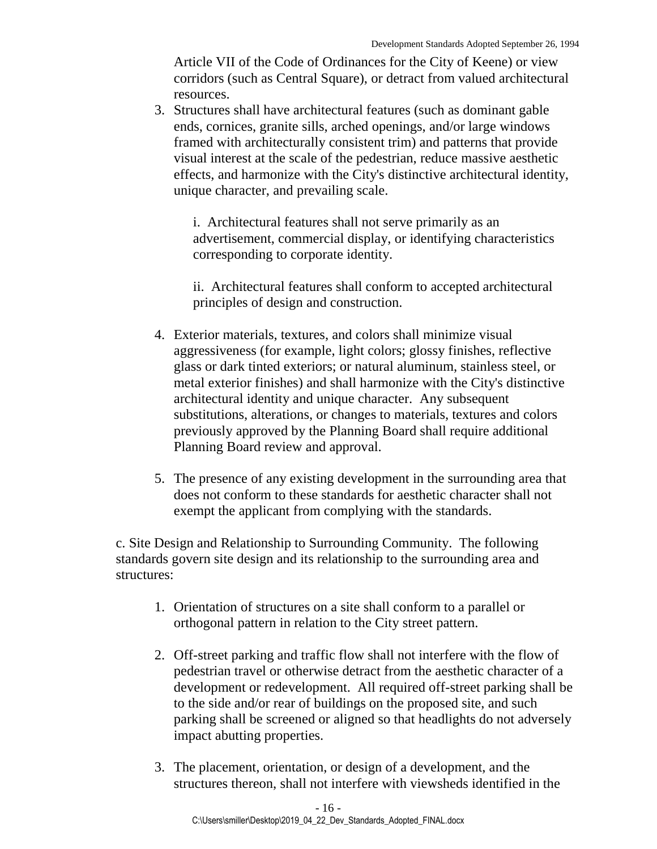Article VII of the Code of Ordinances for the City of Keene) or view corridors (such as Central Square), or detract from valued architectural resources.

3. Structures shall have architectural features (such as dominant gable ends, cornices, granite sills, arched openings, and/or large windows framed with architecturally consistent trim) and patterns that provide visual interest at the scale of the pedestrian, reduce massive aesthetic effects, and harmonize with the City's distinctive architectural identity, unique character, and prevailing scale.

i. Architectural features shall not serve primarily as an advertisement, commercial display, or identifying characteristics corresponding to corporate identity.

ii. Architectural features shall conform to accepted architectural principles of design and construction.

- 4. Exterior materials, textures, and colors shall minimize visual aggressiveness (for example, light colors; glossy finishes, reflective glass or dark tinted exteriors; or natural aluminum, stainless steel, or metal exterior finishes) and shall harmonize with the City's distinctive architectural identity and unique character. Any subsequent substitutions, alterations, or changes to materials, textures and colors previously approved by the Planning Board shall require additional Planning Board review and approval.
- 5. The presence of any existing development in the surrounding area that does not conform to these standards for aesthetic character shall not exempt the applicant from complying with the standards.

c. Site Design and Relationship to Surrounding Community. The following standards govern site design and its relationship to the surrounding area and structures:

- 1. Orientation of structures on a site shall conform to a parallel or orthogonal pattern in relation to the City street pattern.
- 2. Off-street parking and traffic flow shall not interfere with the flow of pedestrian travel or otherwise detract from the aesthetic character of a development or redevelopment. All required off-street parking shall be to the side and/or rear of buildings on the proposed site, and such parking shall be screened or aligned so that headlights do not adversely impact abutting properties.
- 3. The placement, orientation, or design of a development, and the structures thereon, shall not interfere with viewsheds identified in the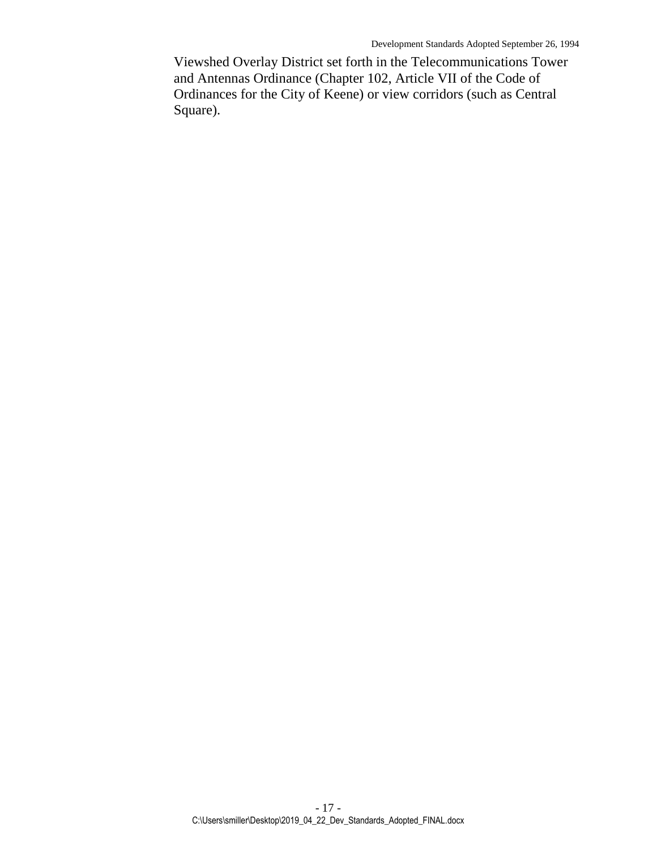Viewshed Overlay District set forth in the Telecommunications Tower and Antennas Ordinance (Chapter 102, Article VII of the Code of Ordinances for the City of Keene) or view corridors (such as Central Square).